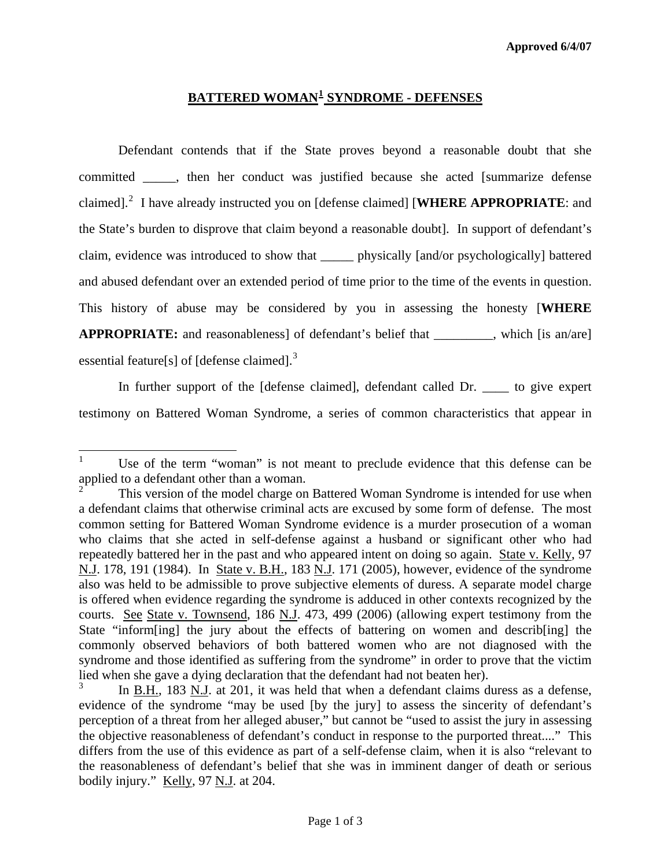## **BATTERED WOMAN[1](#page-0-0) SYNDROME - DEFENSES**

Defendant contends that if the State proves beyond a reasonable doubt that she committed \_\_\_\_\_, then her conduct was justified because she acted [summarize defense claimed].<sup>[2](#page-0-1)</sup> I have already instructed you on [defense claimed] [WHERE APPROPRIATE: and the State's burden to disprove that claim beyond a reasonable doubt]. In support of defendant's claim, evidence was introduced to show that \_\_\_\_\_ physically [and/or psychologically] battered and abused defendant over an extended period of time prior to the time of the events in question. This history of abuse may be considered by you in assessing the honesty [**WHERE APPROPRIATE:** and reasonableness] of defendant's belief that \_\_\_\_\_\_\_\_\_, which [is an/are] essential feature[s] of  $[defense claimed]$ .<sup>[3](#page-0-2)</sup>

In further support of the [defense claimed], defendant called Dr.  $\qquad$  to give expert testimony on Battered Woman Syndrome, a series of common characteristics that appear in

<span id="page-0-0"></span> $\mathbf{1}$ Use of the term "woman" is not meant to preclude evidence that this defense can be applied to a defendant other than a woman.<br>
<sup>2</sup> This version of the model shares on

<span id="page-0-1"></span>This version of the model charge on Battered Woman Syndrome is intended for use when a defendant claims that otherwise criminal acts are excused by some form of defense. The most common setting for Battered Woman Syndrome evidence is a murder prosecution of a woman who claims that she acted in self-defense against a husband or significant other who had repeatedly battered her in the past and who appeared intent on doing so again. State v. Kelly, 97 N.J. 178, 191 (1984). In State v. B.H., 183 N.J. 171 (2005), however, evidence of the syndrome also was held to be admissible to prove subjective elements of duress. A separate model charge is offered when evidence regarding the syndrome is adduced in other contexts recognized by the courts. See State v. Townsend, 186 N.J. 473, 499 (2006) (allowing expert testimony from the State "inform[ing] the jury about the effects of battering on women and describ[ing] the commonly observed behaviors of both battered women who are not diagnosed with the syndrome and those identified as suffering from the syndrome" in order to prove that the victim lied when she gave a dying declaration that the defendant had not beaten her).

<span id="page-0-3"></span><span id="page-0-2"></span><sup>3</sup> In B.H., 183 N.J. at 201, it was held that when a defendant claims duress as a defense, evidence of the syndrome "may be used [by the jury] to assess the sincerity of defendant's perception of a threat from her alleged abuser," but cannot be "used to assist the jury in assessing the objective reasonableness of defendant's conduct in response to the purported threat...." This differs from the use of this evidence as part of a self-defense claim, when it is also "relevant to the reasonableness of defendant's belief that she was in imminent danger of death or serious bodily injury." Kelly, 97 N.J. at 204.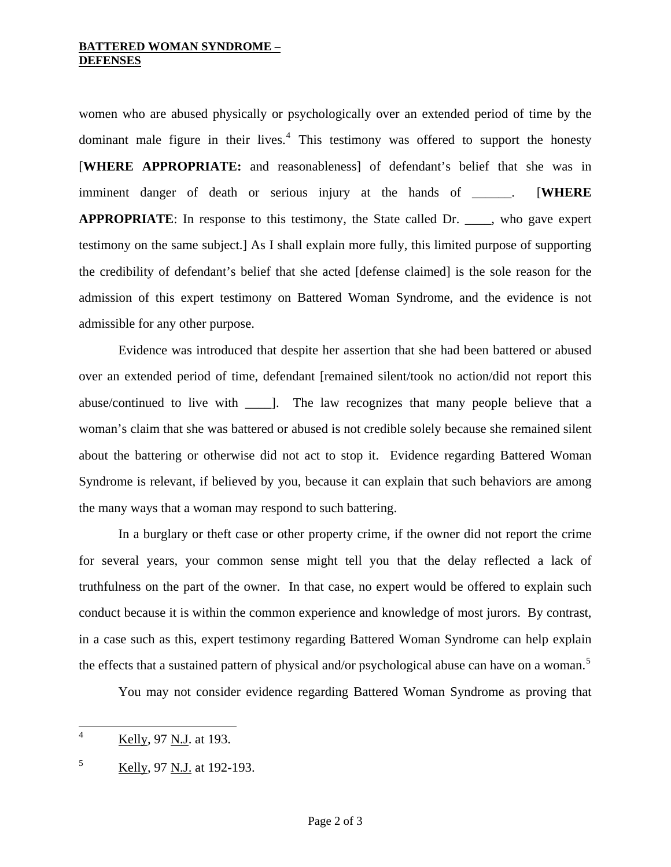## **BATTERED WOMAN SYNDROME – DEFENSES**

women who are abused physically or psychologically over an extended period of time by the dominant male figure in their lives.<sup>[4](#page-0-3)</sup> This testimony was offered to support the honesty [**WHERE APPROPRIATE:** and reasonableness] of defendant's belief that she was in imminent danger of death or serious injury at the hands of \_\_\_\_\_\_. [**WHERE APPROPRIATE**: In response to this testimony, the State called Dr. \_\_\_\_, who gave expert testimony on the same subject.] As I shall explain more fully, this limited purpose of supporting the credibility of defendant's belief that she acted [defense claimed] is the sole reason for the admission of this expert testimony on Battered Woman Syndrome, and the evidence is not admissible for any other purpose.

 Evidence was introduced that despite her assertion that she had been battered or abused over an extended period of time, defendant [remained silent/took no action/did not report this abuse/continued to live with \_\_\_\_]. The law recognizes that many people believe that a woman's claim that she was battered or abused is not credible solely because she remained silent about the battering or otherwise did not act to stop it. Evidence regarding Battered Woman Syndrome is relevant, if believed by you, because it can explain that such behaviors are among the many ways that a woman may respond to such battering.

 In a burglary or theft case or other property crime, if the owner did not report the crime for several years, your common sense might tell you that the delay reflected a lack of truthfulness on the part of the owner. In that case, no expert would be offered to explain such conduct because it is within the common experience and knowledge of most jurors. By contrast, in a case such as this, expert testimony regarding Battered Woman Syndrome can help explain the effects that a sustained pattern of physical and/or psychological abuse can have on a woman.<sup>[5](#page-1-0)</sup>

You may not consider evidence regarding Battered Woman Syndrome as proving that

 4 Kelly, 97 N.J. at 193.

<span id="page-1-0"></span><sup>5</sup> Kelly, 97 N.J. at 192-193.